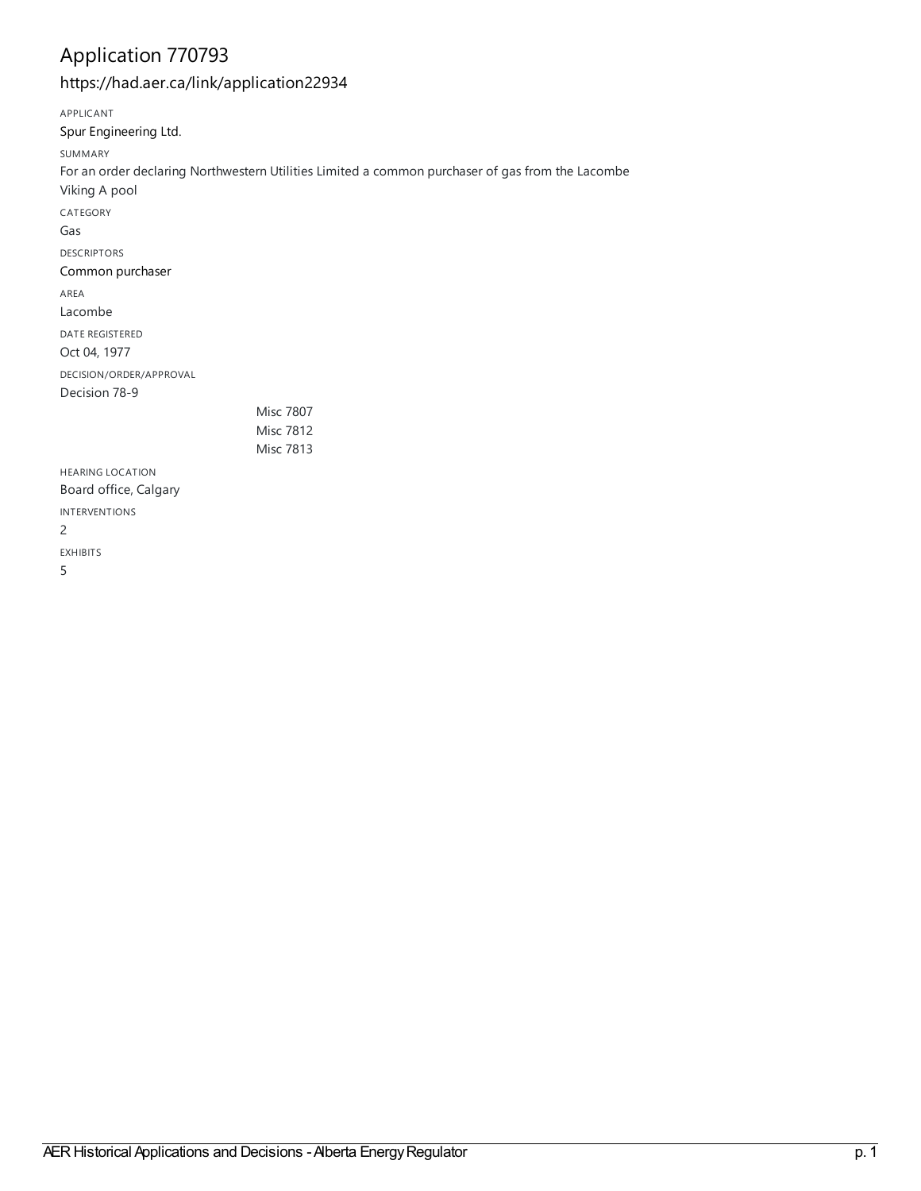## Application 770793

<https://had.aer.ca/link/application22934>

APPLICANT Spur [Engineering](https://had.aer.ca/list?q=name%253A%2522Spur%20Engineering%20Ltd.%2522&p=1&ps=&sort=title_sort%20asc) Ltd. SUMMARY For an order declaring Northwestern Utilities Limited a common purchaser of gas from the Lacombe Viking A pool CATEGORY Gas DESCRIPTORS Common [purchaser](https://had.aer.ca/list?q=topic%253A%2522Common%20purchaser%2522&p=1&ps=&sort=title_sort%20asc) AREA Lacombe DATE REGISTERED Oct 04, 1977 DECISION/ORDER/APPROVAL Decision 78-9 Misc 7807 Misc 7812 Misc 7813 HEARING LOCATION Board office, Calgary INTERVENTIONS 2 EXHIBITS 5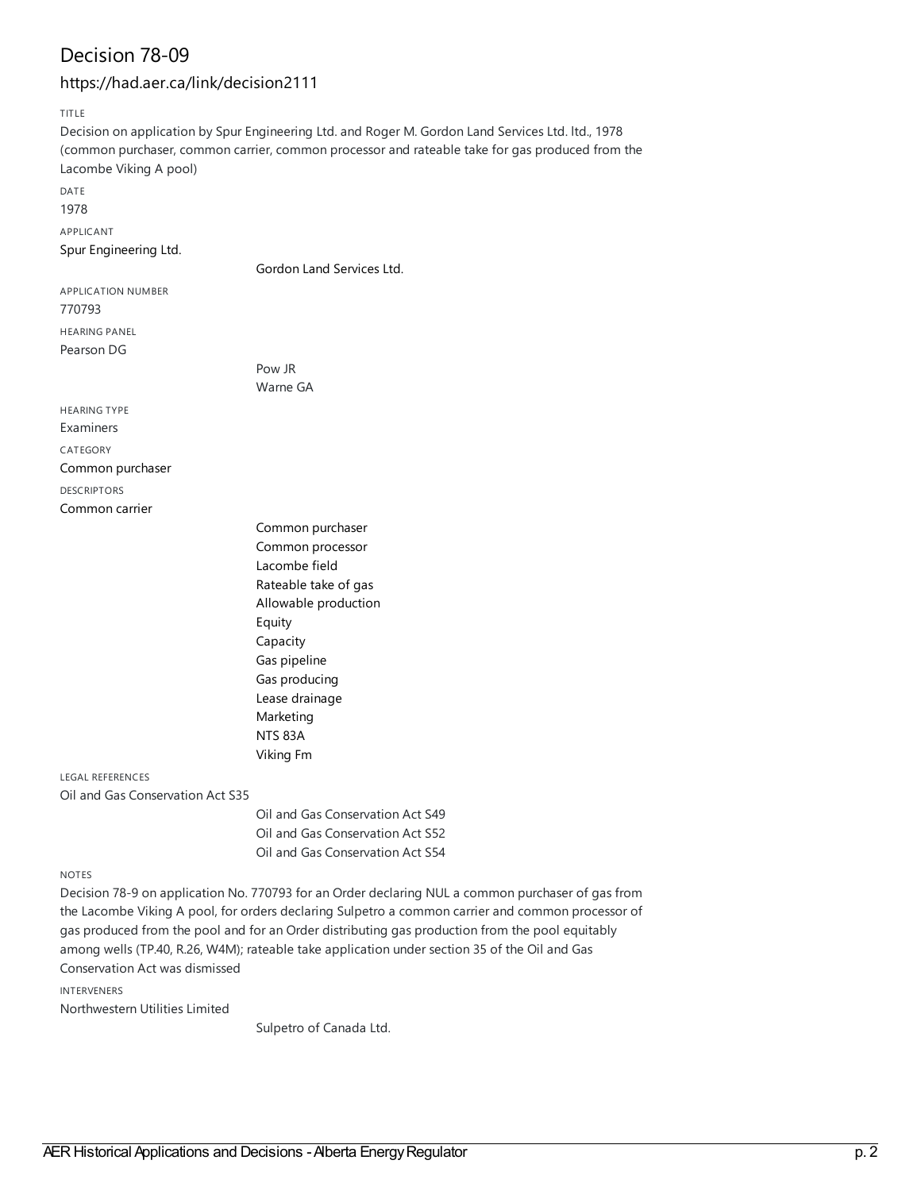### Decision 78-09

#### <https://had.aer.ca/link/decision2111>

TITLE

Decision on application by Spur Engineering Ltd. and Roger M. Gordon Land Services Ltd. ltd., 1978 (common purchaser, common carrier, common processor and rateable take for gas produced from the Lacombe Viking A pool) DATE 1978

APPLICANT

Spur [Engineering](https://had.aer.ca/list?q=name%253A%2522Spur%20Engineering%20Ltd.%2522&p=1&ps=&sort=title_sort%20asc) Ltd.

Gordon Land [Services](https://had.aer.ca/list?q=name%253A%2522Gordon%20Land%20Services%20Ltd.%2522&p=1&ps=&sort=title_sort%20asc) Ltd.

APPLICATION NUMBER 770793 HEARING PANEL Pearson DG

> Pow JR Warne GA

HEARING TYPE Examiners CATEGORY Common [purchaser](https://had.aer.ca/list?q=topic%253A%2522Common%20purchaser%2522&p=1&ps=&sort=title_sort%20asc)

DESCRIPTORS [Common](https://had.aer.ca/list?q=topic%253A%2522Common%20carrier%2522&p=1&ps=&sort=title_sort%20asc) carrier

> Common [purchaser](https://had.aer.ca/list?q=topic%253A%2522Common%20purchaser%2522&p=1&ps=&sort=title_sort%20asc) Common [processor](https://had.aer.ca/list?q=topic%253A%2522Common%20processor%2522&p=1&ps=&sort=title_sort%20asc) [Lacombe](https://had.aer.ca/list?q=topic%253A%2522Lacombe%20field%2522&p=1&ps=&sort=title_sort%20asc) field [Rateable](https://had.aer.ca/list?q=topic%253A%2522Rateable%20take%20of%20gas%2522&p=1&ps=&sort=title_sort%20asc) take of gas Allowable [production](https://had.aer.ca/list?q=topic%253A%2522Allowable%20production%2522&p=1&ps=&sort=title_sort%20asc) [Equity](https://had.aer.ca/list?q=topic%253A%2522Equity%2522&p=1&ps=&sort=title_sort%20asc) [Capacity](https://had.aer.ca/list?q=topic%253A%2522Capacity%2522&p=1&ps=&sort=title_sort%20asc) Gas [pipeline](https://had.aer.ca/list?q=topic%253A%2522Gas%20pipeline%2522&p=1&ps=&sort=title_sort%20asc) Gas [producing](https://had.aer.ca/list?q=topic%253A%2522Gas%20producing%2522&p=1&ps=&sort=title_sort%20asc) Lease [drainage](https://had.aer.ca/list?q=topic%253A%2522Lease%20drainage%2522&p=1&ps=&sort=title_sort%20asc) [Marketing](https://had.aer.ca/list?q=topic%253A%2522Marketing%2522&p=1&ps=&sort=title_sort%20asc) [NTS](https://had.aer.ca/list?q=topic%253A%2522NTS%2083A%2522&p=1&ps=&sort=title_sort%20asc) 83A [Viking](https://had.aer.ca/list?q=topic%253A%2522Viking%20Fm%2522&p=1&ps=&sort=title_sort%20asc) Fm

LEGAL REFERENCES Oil and Gas Conservation Act S35

> Oil and Gas Conservation Act S49 Oil and Gas Conservation Act S52 Oil and Gas Conservation Act S54

#### NOTES

Decision 78-9 on application No. 770793 for an Order declaring NUL a common purchaser of gas from the Lacombe Viking A pool, for orders declaring Sulpetro a common carrier and common processor of gas produced from the pool and for an Order distributing gas production from the pool equitably among wells (TP.40, R.26, W4M); rateable take application under section 35 of the Oil and Gas Conservation Act was dismissed

INTERVENERS

Northwestern Utilities Limited

Sulpetro of Canada Ltd.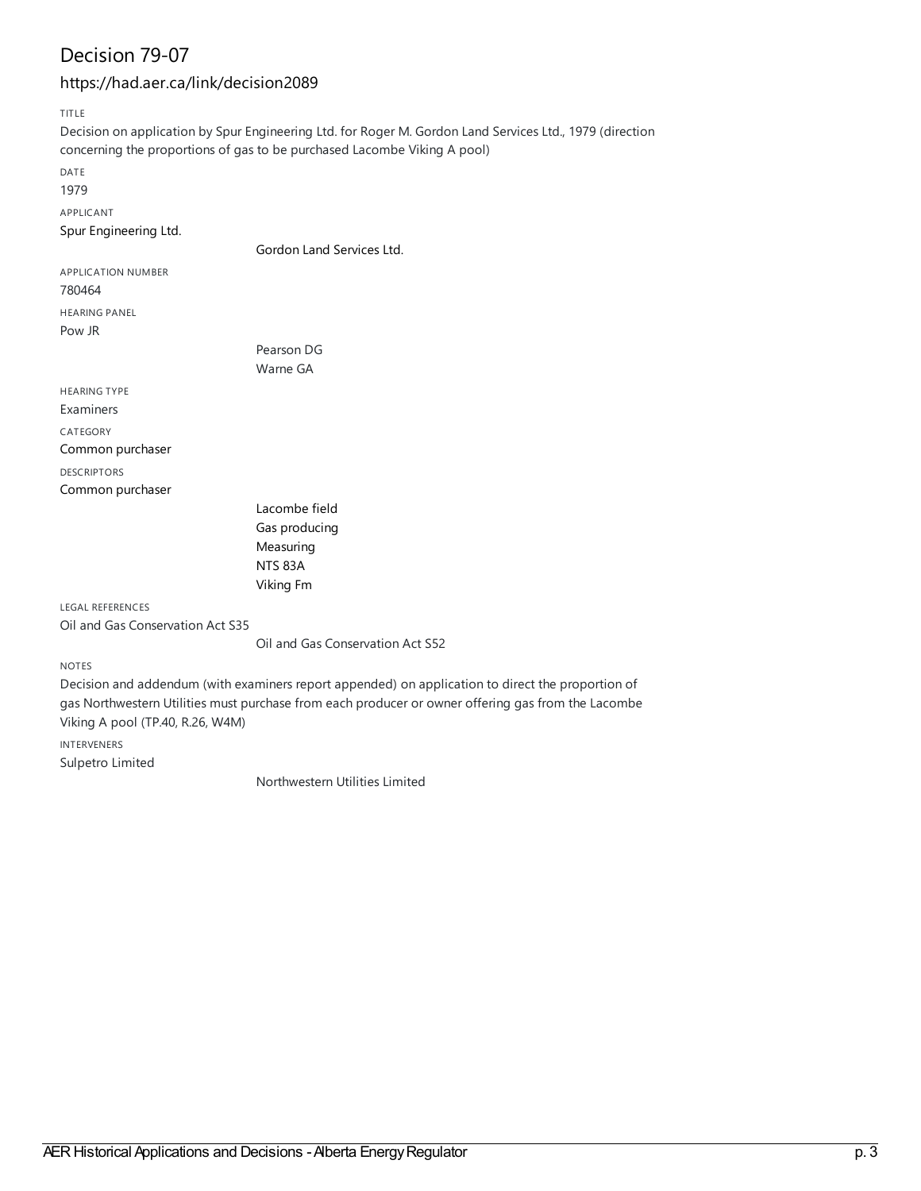## Decision 79-07

#### <https://had.aer.ca/link/decision2089>

TITLE

Decision on application by Spur Engineering Ltd. for Roger M. Gordon Land Services Ltd., 1979 (direction concerning the proportions of gas to be purchased Lacombe Viking A pool) DATE 1979 APPLICANT Spur [Engineering](https://had.aer.ca/list?q=name%253A%2522Spur%20Engineering%20Ltd.%2522&p=1&ps=&sort=title_sort%20asc) Ltd. Gordon Land [Services](https://had.aer.ca/list?q=name%253A%2522Gordon%20Land%20Services%20Ltd.%2522&p=1&ps=&sort=title_sort%20asc) Ltd. APPLICATION NUMBER 780464 HEARING PANEL Pow JR Pearson DG Warne GA HEARING TYPE Examiners CATEGORY Common [purchaser](https://had.aer.ca/list?q=topic%253A%2522Common%20purchaser%2522&p=1&ps=&sort=title_sort%20asc) DESCRIPTORS Common [purchaser](https://had.aer.ca/list?q=topic%253A%2522Common%20purchaser%2522&p=1&ps=&sort=title_sort%20asc) [Lacombe](https://had.aer.ca/list?q=topic%253A%2522Lacombe%20field%2522&p=1&ps=&sort=title_sort%20asc) field Gas [producing](https://had.aer.ca/list?q=topic%253A%2522Gas%20producing%2522&p=1&ps=&sort=title_sort%20asc) [Measuring](https://had.aer.ca/list?q=topic%253A%2522Measuring%2522&p=1&ps=&sort=title_sort%20asc) [NTS](https://had.aer.ca/list?q=topic%253A%2522NTS%2083A%2522&p=1&ps=&sort=title_sort%20asc) 83A [Viking](https://had.aer.ca/list?q=topic%253A%2522Viking%20Fm%2522&p=1&ps=&sort=title_sort%20asc) Fm LEGAL REFERENCES Oil and Gas Conservation Act S35 Oil and Gas Conservation Act S52

NOTES

Decision and addendum (with examiners report appended) on application to direct the proportion of gas Northwestern Utilities must purchase from each producer or owner offering gas from the Lacombe Viking A pool (TP.40, R.26, W4M)

INTERVENERS Sulpetro Limited

Northwestern Utilities Limited